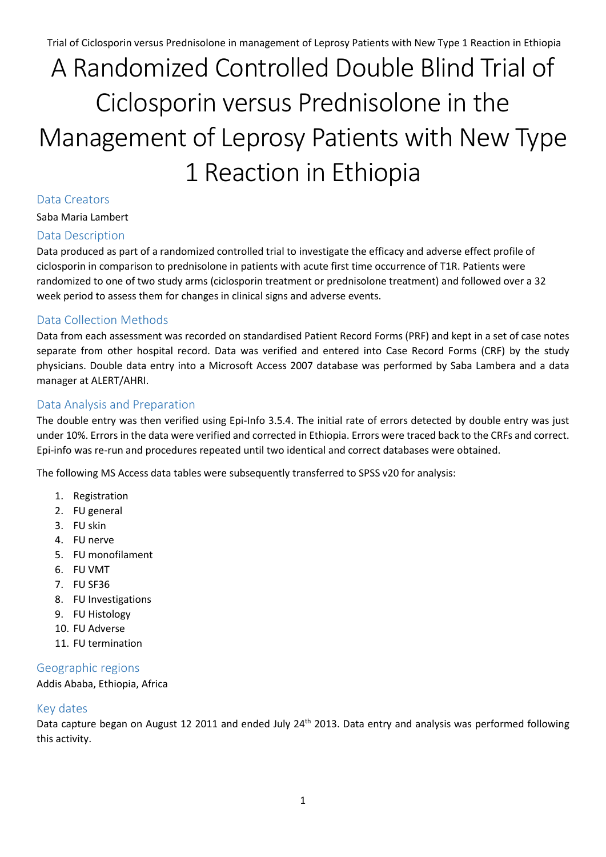# A Randomized Controlled Double Blind Trial of Ciclosporin versus Prednisolone in the Management of Leprosy Patients with New Type 1 Reaction in Ethiopia

#### Data Creators

Saba Maria Lambert

#### Data Description

Data produced as part of a randomized controlled trial to investigate the efficacy and adverse effect profile of ciclosporin in comparison to prednisolone in patients with acute first time occurrence of T1R. Patients were randomized to one of two study arms (ciclosporin treatment or prednisolone treatment) and followed over a 32 week period to assess them for changes in clinical signs and adverse events.

#### Data Collection Methods

Data from each assessment was recorded on standardised Patient Record Forms (PRF) and kept in a set of case notes separate from other hospital record. Data was verified and entered into Case Record Forms (CRF) by the study physicians. Double data entry into a Microsoft Access 2007 database was performed by Saba Lambera and a data manager at ALERT/AHRI.

#### Data Analysis and Preparation

The double entry was then verified using Epi-Info 3.5.4. The initial rate of errors detected by double entry was just under 10%. Errors in the data were verified and corrected in Ethiopia. Errors were traced back to the CRFs and correct. Epi-info was re-run and procedures repeated until two identical and correct databases were obtained.

The following MS Access data tables were subsequently transferred to SPSS v20 for analysis:

- 1. Registration
- 2. FU general
- 3. FU skin
- 4. FU nerve
- 5. FU monofilament
- 6. FU VMT
- 7. FU SF36
- 8. FU Investigations
- 9. FU Histology
- 10. FU Adverse
- 11. FU termination

#### Geographic regions

Addis Ababa, Ethiopia, Africa

#### Key dates

Data capture began on August 12 2011 and ended July 24<sup>th</sup> 2013. Data entry and analysis was performed following this activity.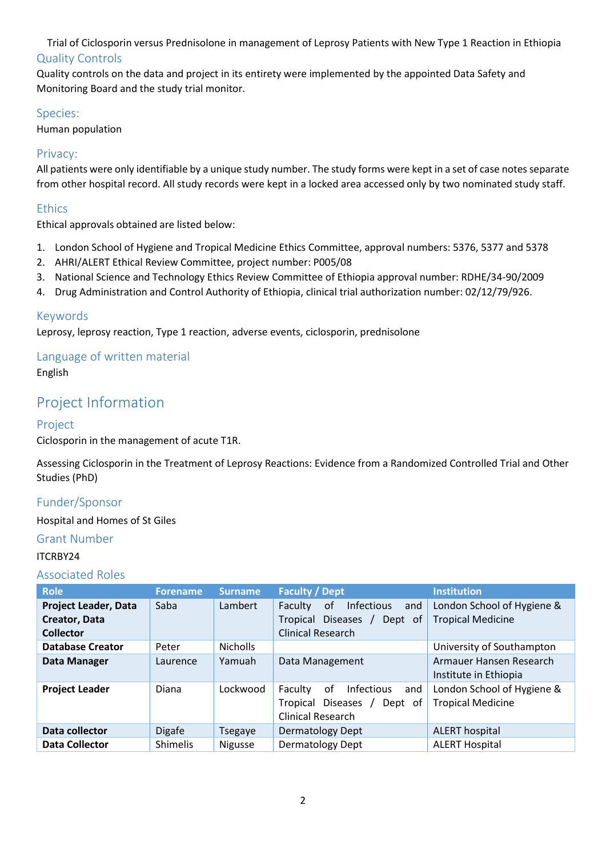Trial of Ciclosporin versus Prednisolone in management of Leprosy Patients with New Type 1 Reaction in Ethiopia Quality Controls

Quality controls on the data and project in its entirety were implemented by the appointed Data Safety and Monitoring Board and the study trial monitor.

#### Species:

Human population

#### Privacy:

All patients were only identifiable by a unique study number. The study forms were kept in a set of case notes separate from other hospital record. All study records were kept in a locked area accessed only by two nominated study staff.

#### **Ethics**

Ethical approvals obtained are listed below:

- 1. London School of Hygiene and Tropical Medicine Ethics Committee, approval numbers: 5376, 5377 and 5378
- 2. AHRI/ALERT Ethical Review Committee, project number: P005/08
- 3. National Science and Technology Ethics Review Committee of Ethiopia approval number: RDHE/34-90/2009
- 4. Drug Administration and Control Authority of Ethiopia, clinical trial authorization number: 02/12/79/926.

#### Keywords

Leprosy, leprosy reaction, Type 1 reaction, adverse events, ciclosporin, prednisolone

### Language of written material

English

## Project Information

#### Project

Ciclosporin in the management of acute T1R.

Assessing Ciclosporin in the Treatment of Leprosy Reactions: Evidence from a Randomized Controlled Trial and Other Studies (PhD)

#### Funder/Sponsor

#### Hospital and Homes of St Giles

#### Grant Number

#### ITCRBY24

#### Associated Roles

| <b>Role</b>                 | <b>Forename</b> | <b>Surname</b>  | <b>Faculty / Dept</b>                     | <b>Institution</b>         |
|-----------------------------|-----------------|-----------------|-------------------------------------------|----------------------------|
| <b>Project Leader, Data</b> | Saba            | Lambert         | Faculty<br>of<br><b>Infectious</b><br>and | London School of Hygiene & |
| Creator, Data               |                 |                 | <b>Diseases</b><br>Tropical<br>Dept of    | <b>Tropical Medicine</b>   |
| <b>Collector</b>            |                 |                 | <b>Clinical Research</b>                  |                            |
| <b>Database Creator</b>     | Peter           | <b>Nicholls</b> |                                           | University of Southampton  |
| Data Manager                | Laurence        | Yamuah          | Data Management                           | Armauer Hansen Research    |
|                             |                 |                 |                                           | Institute in Ethiopia      |
| <b>Project Leader</b>       | Diana           | Lockwood        | <b>Infectious</b><br>Faculty<br>of<br>and | London School of Hygiene & |
|                             |                 |                 | Diseases /<br>Tropical<br>Dept of         | <b>Tropical Medicine</b>   |
|                             |                 |                 | Clinical Research                         |                            |
| Data collector              | <b>Digafe</b>   | <b>Tsegaye</b>  | <b>Dermatology Dept</b>                   | <b>ALERT hospital</b>      |
| <b>Data Collector</b>       | <b>Shimelis</b> | <b>Nigusse</b>  | <b>Dermatology Dept</b>                   | <b>ALERT Hospital</b>      |